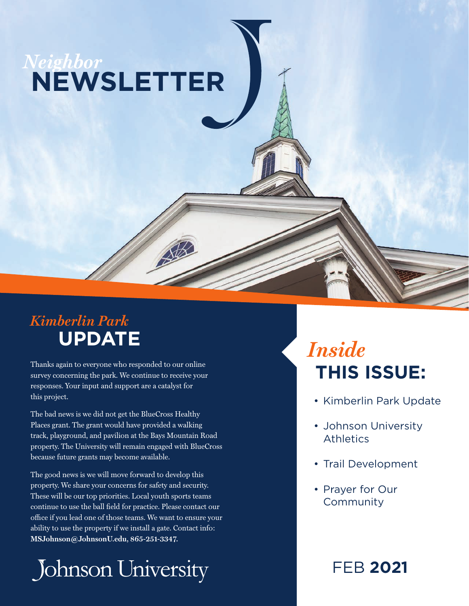# *Neighbor* **NEWSLETTER**

### *Kimberlin Park* **UPDATE**

Thanks again to everyone who responded to our online survey concerning the park. We continue to receive your responses. Your input and support are a catalyst for this project.

The bad news is we did not get the BlueCross Healthy Places grant. The grant would have provided a walking track, playground, and pavilion at the Bays Mountain Road property. The University will remain engaged with BlueCross because future grants may become available.

The good news is we will move forward to develop this property. We share your concerns for safety and security. These will be our top priorities. Local youth sports teams continue to use the ball field for practice. Please contact our office if you lead one of those teams. We want to ensure your ability to use the property if we install a gate. Contact info: **MSJohnson@JohnsonU.edu, 865-251-3347.**

Johnson University

# *Inside* **THIS ISSUE:**

- Kimberlin Park Update
- Johnson University Athletics
- Trail Development
- Prayer for Our **Community**

FEB **2021**